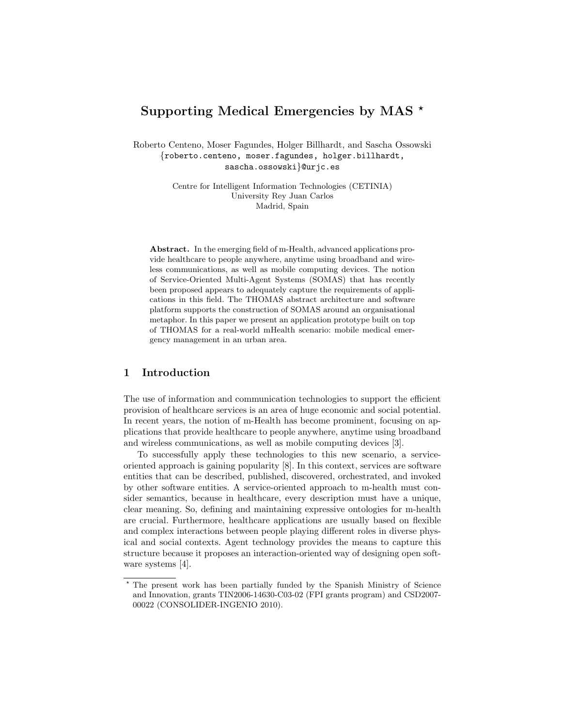# Supporting Medical Emergencies by MAS  $^{\star}$

Roberto Centeno, Moser Fagundes, Holger Billhardt, and Sascha Ossowski {roberto.centeno, moser.fagundes, holger.billhardt, sascha.ossowski}@urjc.es

> Centre for Intelligent Information Technologies (CETINIA) University Rey Juan Carlos Madrid, Spain

Abstract. In the emerging field of m-Health, advanced applications provide healthcare to people anywhere, anytime using broadband and wireless communications, as well as mobile computing devices. The notion of Service-Oriented Multi-Agent Systems (SOMAS) that has recently been proposed appears to adequately capture the requirements of applications in this field. The THOMAS abstract architecture and software platform supports the construction of SOMAS around an organisational metaphor. In this paper we present an application prototype built on top of THOMAS for a real-world mHealth scenario: mobile medical emergency management in an urban area.

## 1 Introduction

The use of information and communication technologies to support the efficient provision of healthcare services is an area of huge economic and social potential. In recent years, the notion of m-Health has become prominent, focusing on applications that provide healthcare to people anywhere, anytime using broadband and wireless communications, as well as mobile computing devices [3].

To successfully apply these technologies to this new scenario, a serviceoriented approach is gaining popularity [8]. In this context, services are software entities that can be described, published, discovered, orchestrated, and invoked by other software entities. A service-oriented approach to m-health must consider semantics, because in healthcare, every description must have a unique, clear meaning. So, defining and maintaining expressive ontologies for m-health are crucial. Furthermore, healthcare applications are usually based on flexible and complex interactions between people playing different roles in diverse physical and social contexts. Agent technology provides the means to capture this structure because it proposes an interaction-oriented way of designing open software systems [4].

<sup>?</sup> The present work has been partially funded by the Spanish Ministry of Science and Innovation, grants TIN2006-14630-C03-02 (FPI grants program) and CSD2007- 00022 (CONSOLIDER-INGENIO 2010).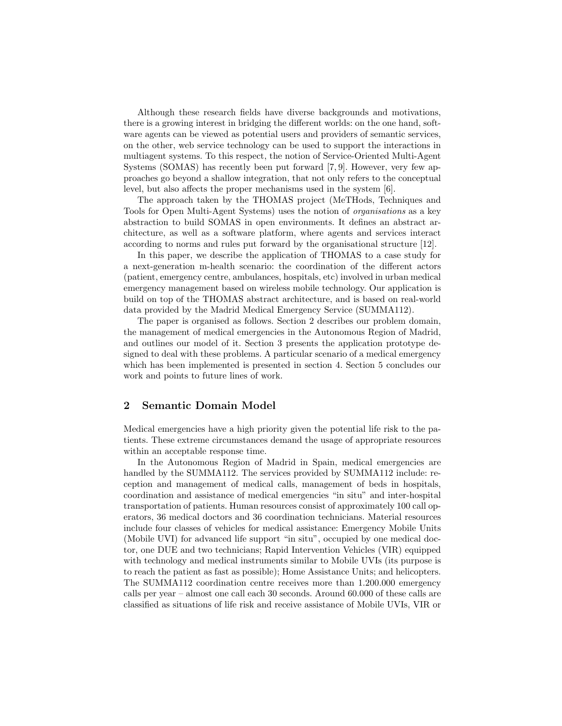Although these research fields have diverse backgrounds and motivations, there is a growing interest in bridging the different worlds: on the one hand, software agents can be viewed as potential users and providers of semantic services, on the other, web service technology can be used to support the interactions in multiagent systems. To this respect, the notion of Service-Oriented Multi-Agent Systems (SOMAS) has recently been put forward [7, 9]. However, very few approaches go beyond a shallow integration, that not only refers to the conceptual level, but also affects the proper mechanisms used in the system [6].

The approach taken by the THOMAS project (MeTHods, Techniques and Tools for Open Multi-Agent Systems) uses the notion of organisations as a key abstraction to build SOMAS in open environments. It defines an abstract architecture, as well as a software platform, where agents and services interact according to norms and rules put forward by the organisational structure [12].

In this paper, we describe the application of THOMAS to a case study for a next-generation m-health scenario: the coordination of the different actors (patient, emergency centre, ambulances, hospitals, etc) involved in urban medical emergency management based on wireless mobile technology. Our application is build on top of the THOMAS abstract architecture, and is based on real-world data provided by the Madrid Medical Emergency Service (SUMMA112).

The paper is organised as follows. Section 2 describes our problem domain, the management of medical emergencies in the Autonomous Region of Madrid, and outlines our model of it. Section 3 presents the application prototype designed to deal with these problems. A particular scenario of a medical emergency which has been implemented is presented in section 4. Section 5 concludes our work and points to future lines of work.

## 2 Semantic Domain Model

Medical emergencies have a high priority given the potential life risk to the patients. These extreme circumstances demand the usage of appropriate resources within an acceptable response time.

In the Autonomous Region of Madrid in Spain, medical emergencies are handled by the SUMMA112. The services provided by SUMMA112 include: reception and management of medical calls, management of beds in hospitals, coordination and assistance of medical emergencies "in situ" and inter-hospital transportation of patients. Human resources consist of approximately 100 call operators, 36 medical doctors and 36 coordination technicians. Material resources include four classes of vehicles for medical assistance: Emergency Mobile Units (Mobile UVI) for advanced life support "in situ", occupied by one medical doctor, one DUE and two technicians; Rapid Intervention Vehicles (VIR) equipped with technology and medical instruments similar to Mobile UVIs (its purpose is to reach the patient as fast as possible); Home Assistance Units; and helicopters. The SUMMA112 coordination centre receives more than 1.200.000 emergency calls per year – almost one call each 30 seconds. Around 60.000 of these calls are classified as situations of life risk and receive assistance of Mobile UVIs, VIR or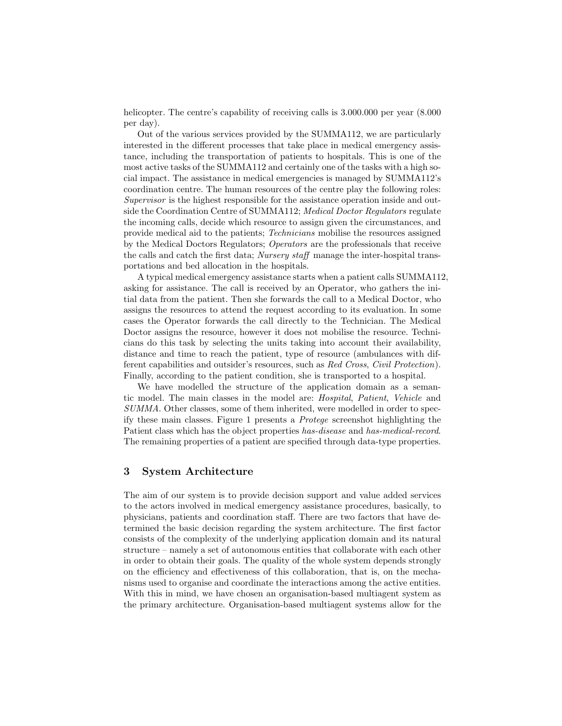helicopter. The centre's capability of receiving calls is  $3.000.000$  per year  $(8.000$ per day).

Out of the various services provided by the SUMMA112, we are particularly interested in the different processes that take place in medical emergency assistance, including the transportation of patients to hospitals. This is one of the most active tasks of the SUMMA112 and certainly one of the tasks with a high social impact. The assistance in medical emergencies is managed by SUMMA112's coordination centre. The human resources of the centre play the following roles: Supervisor is the highest responsible for the assistance operation inside and outside the Coordination Centre of SUMMA112; Medical Doctor Regulators regulate the incoming calls, decide which resource to assign given the circumstances, and provide medical aid to the patients; Technicians mobilise the resources assigned by the Medical Doctors Regulators; Operators are the professionals that receive the calls and catch the first data; Nursery staff manage the inter-hospital transportations and bed allocation in the hospitals.

A typical medical emergency assistance starts when a patient calls SUMMA112, asking for assistance. The call is received by an Operator, who gathers the initial data from the patient. Then she forwards the call to a Medical Doctor, who assigns the resources to attend the request according to its evaluation. In some cases the Operator forwards the call directly to the Technician. The Medical Doctor assigns the resource, however it does not mobilise the resource. Technicians do this task by selecting the units taking into account their availability, distance and time to reach the patient, type of resource (ambulances with different capabilities and outsider's resources, such as Red Cross, Civil Protection). Finally, according to the patient condition, she is transported to a hospital.

We have modelled the structure of the application domain as a semantic model. The main classes in the model are: Hospital, Patient, Vehicle and SUMMA. Other classes, some of them inherited, were modelled in order to specify these main classes. Figure 1 presents a Protege screenshot highlighting the Patient class which has the object properties has-disease and has-medical-record. The remaining properties of a patient are specified through data-type properties.

#### 3 System Architecture

The aim of our system is to provide decision support and value added services to the actors involved in medical emergency assistance procedures, basically, to physicians, patients and coordination staff. There are two factors that have determined the basic decision regarding the system architecture. The first factor consists of the complexity of the underlying application domain and its natural structure – namely a set of autonomous entities that collaborate with each other in order to obtain their goals. The quality of the whole system depends strongly on the efficiency and effectiveness of this collaboration, that is, on the mechanisms used to organise and coordinate the interactions among the active entities. With this in mind, we have chosen an organisation-based multiagent system as the primary architecture. Organisation-based multiagent systems allow for the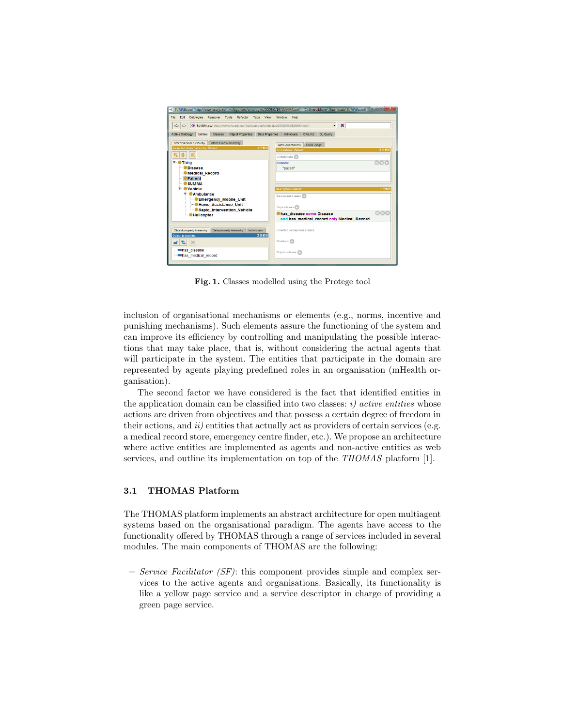

Fig. 1. Classes modelled using the Protege tool

inclusion of organisational mechanisms or elements (e.g., norms, incentive and punishing mechanisms). Such elements assure the functioning of the system and can improve its efficiency by controlling and manipulating the possible interactions that may take place, that is, without considering the actual agents that will participate in the system. The entities that participate in the domain are represented by agents playing predefined roles in an organisation (mHealth organisation).

The second factor we have considered is the fact that identified entities in the application domain can be classified into two classes:  $i)$  active entities whose actions are driven from objectives and that possess a certain degree of freedom in their actions, and  $ii)$  entities that actually act as providers of certain services (e.g. a medical record store, emergency centre finder, etc.). We propose an architecture where active entities are implemented as agents and non-active entities as web services, and outline its implementation on top of the THOMAS platform [1].

#### 3.1 THOMAS Platform

The THOMAS platform implements an abstract architecture for open multiagent systems based on the organisational paradigm. The agents have access to the functionality offered by THOMAS through a range of services included in several modules. The main components of THOMAS are the following:

– Service Facilitator (SF): this component provides simple and complex services to the active agents and organisations. Basically, its functionality is like a yellow page service and a service descriptor in charge of providing a green page service.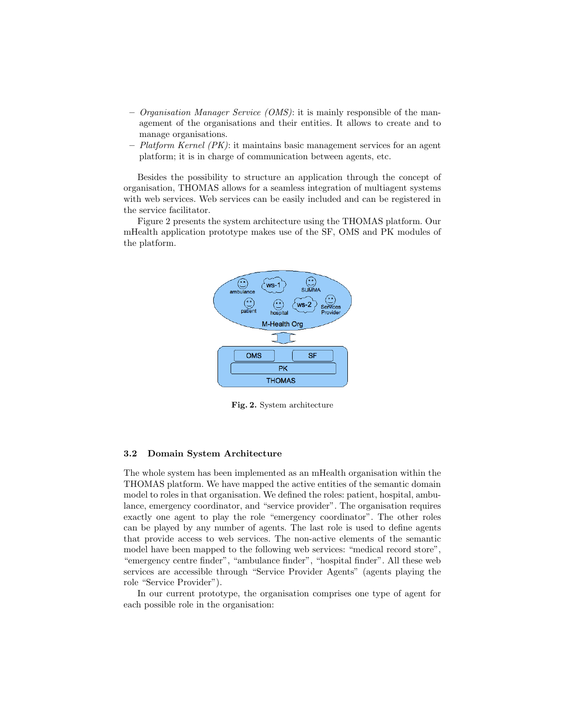- Organisation Manager Service (OMS): it is mainly responsible of the management of the organisations and their entities. It allows to create and to manage organisations.
- $-$  Platform Kernel (PK): it maintains basic management services for an agent platform; it is in charge of communication between agents, etc.

Besides the possibility to structure an application through the concept of organisation, THOMAS allows for a seamless integration of multiagent systems with web services. Web services can be easily included and can be registered in the service facilitator.

Figure 2 presents the system architecture using the THOMAS platform. Our mHealth application prototype makes use of the SF, OMS and PK modules of the platform.



Fig. 2. System architecture

#### 3.2 Domain System Architecture

The whole system has been implemented as an mHealth organisation within the THOMAS platform. We have mapped the active entities of the semantic domain model to roles in that organisation. We defined the roles: patient, hospital, ambulance, emergency coordinator, and "service provider". The organisation requires exactly one agent to play the role "emergency coordinator". The other roles can be played by any number of agents. The last role is used to define agents that provide access to web services. The non-active elements of the semantic model have been mapped to the following web services: "medical record store", "emergency centre finder", "ambulance finder", "hospital finder". All these web services are accessible through "Service Provider Agents" (agents playing the role "Service Provider").

In our current prototype, the organisation comprises one type of agent for each possible role in the organisation: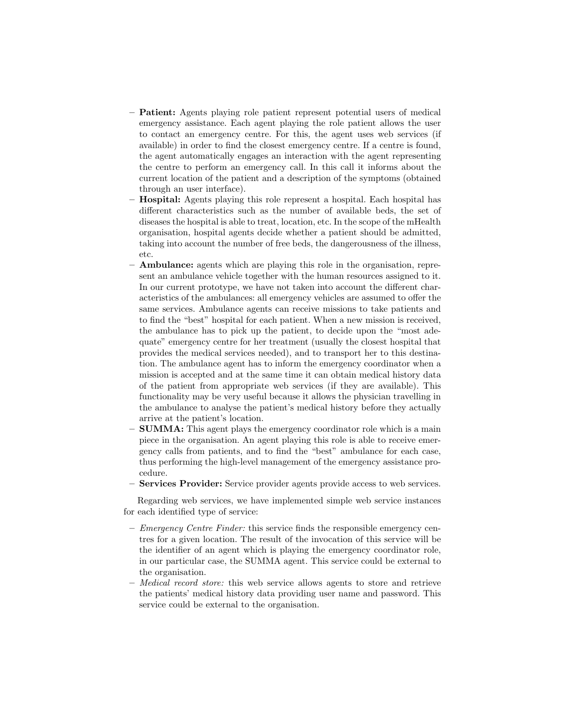- Patient: Agents playing role patient represent potential users of medical emergency assistance. Each agent playing the role patient allows the user to contact an emergency centre. For this, the agent uses web services (if available) in order to find the closest emergency centre. If a centre is found, the agent automatically engages an interaction with the agent representing the centre to perform an emergency call. In this call it informs about the current location of the patient and a description of the symptoms (obtained through an user interface).
- Hospital: Agents playing this role represent a hospital. Each hospital has different characteristics such as the number of available beds, the set of diseases the hospital is able to treat, location, etc. In the scope of the mHealth organisation, hospital agents decide whether a patient should be admitted, taking into account the number of free beds, the dangerousness of the illness, etc.
- Ambulance: agents which are playing this role in the organisation, represent an ambulance vehicle together with the human resources assigned to it. In our current prototype, we have not taken into account the different characteristics of the ambulances: all emergency vehicles are assumed to offer the same services. Ambulance agents can receive missions to take patients and to find the "best" hospital for each patient. When a new mission is received, the ambulance has to pick up the patient, to decide upon the "most adequate" emergency centre for her treatment (usually the closest hospital that provides the medical services needed), and to transport her to this destination. The ambulance agent has to inform the emergency coordinator when a mission is accepted and at the same time it can obtain medical history data of the patient from appropriate web services (if they are available). This functionality may be very useful because it allows the physician travelling in the ambulance to analyse the patient's medical history before they actually arrive at the patient's location.
- **SUMMA:** This agent plays the emergency coordinator role which is a main piece in the organisation. An agent playing this role is able to receive emergency calls from patients, and to find the "best" ambulance for each case, thus performing the high-level management of the emergency assistance procedure.
- Services Provider: Service provider agents provide access to web services.

Regarding web services, we have implemented simple web service instances for each identified type of service:

- Emergency Centre Finder: this service finds the responsible emergency centres for a given location. The result of the invocation of this service will be the identifier of an agent which is playing the emergency coordinator role, in our particular case, the SUMMA agent. This service could be external to the organisation.
- Medical record store: this web service allows agents to store and retrieve the patients' medical history data providing user name and password. This service could be external to the organisation.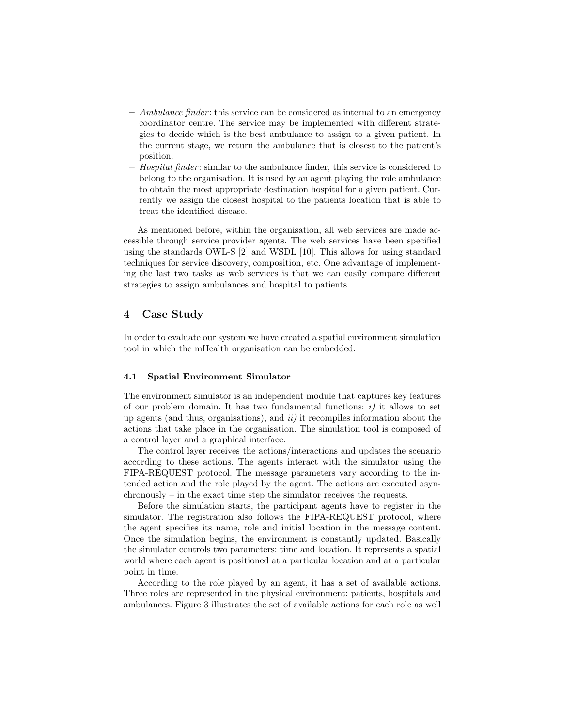- $-$  Ambulance finder: this service can be considered as internal to an emergency coordinator centre. The service may be implemented with different strategies to decide which is the best ambulance to assign to a given patient. In the current stage, we return the ambulance that is closest to the patient's position.
- $-$  Hospital finder: similar to the ambulance finder, this service is considered to belong to the organisation. It is used by an agent playing the role ambulance to obtain the most appropriate destination hospital for a given patient. Currently we assign the closest hospital to the patients location that is able to treat the identified disease.

As mentioned before, within the organisation, all web services are made accessible through service provider agents. The web services have been specified using the standards OWL-S [2] and WSDL [10]. This allows for using standard techniques for service discovery, composition, etc. One advantage of implementing the last two tasks as web services is that we can easily compare different strategies to assign ambulances and hospital to patients.

#### 4 Case Study

In order to evaluate our system we have created a spatial environment simulation tool in which the mHealth organisation can be embedded.

#### 4.1 Spatial Environment Simulator

The environment simulator is an independent module that captures key features of our problem domain. It has two fundamental functions:  $i$ ) it allows to set up agents (and thus, organisations), and  $ii$ ) it recompiles information about the actions that take place in the organisation. The simulation tool is composed of a control layer and a graphical interface.

The control layer receives the actions/interactions and updates the scenario according to these actions. The agents interact with the simulator using the FIPA-REQUEST protocol. The message parameters vary according to the intended action and the role played by the agent. The actions are executed asynchronously – in the exact time step the simulator receives the requests.

Before the simulation starts, the participant agents have to register in the simulator. The registration also follows the FIPA-REQUEST protocol, where the agent specifies its name, role and initial location in the message content. Once the simulation begins, the environment is constantly updated. Basically the simulator controls two parameters: time and location. It represents a spatial world where each agent is positioned at a particular location and at a particular point in time.

According to the role played by an agent, it has a set of available actions. Three roles are represented in the physical environment: patients, hospitals and ambulances. Figure 3 illustrates the set of available actions for each role as well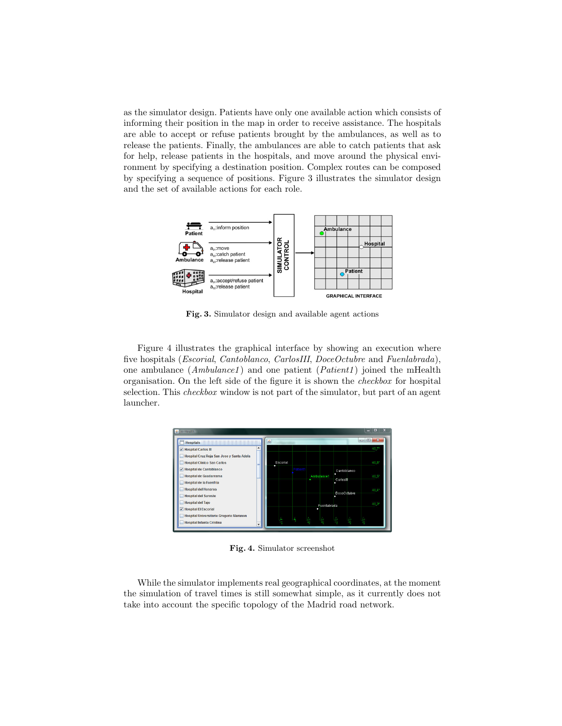as the simulator design. Patients have only one available action which consists of informing their position in the map in order to receive assistance. The hospitals are able to accept or refuse patients brought by the ambulances, as well as to release the patients. Finally, the ambulances are able to catch patients that ask for help, release patients in the hospitals, and move around the physical environment by specifying a destination position. Complex routes can be composed by specifying a sequence of positions. Figure 3 illustrates the simulator design and the set of available actions for each role.



Fig. 3. Simulator design and available agent actions

Figure 4 illustrates the graphical interface by showing an execution where five hospitals (Escorial, Cantoblanco, CarlosIII, DoceOctubre and Fuenlabrada), one ambulance  $(Ambulance1)$  and one patient  $(Patient1)$  joined the mHealth organisation. On the left side of the figure it is shown the checkbox for hospital selection. This *checkbox* window is not part of the simulator, but part of an agent launcher.



Fig. 4. Simulator screenshot

While the simulator implements real geographical coordinates, at the moment the simulation of travel times is still somewhat simple, as it currently does not take into account the specific topology of the Madrid road network.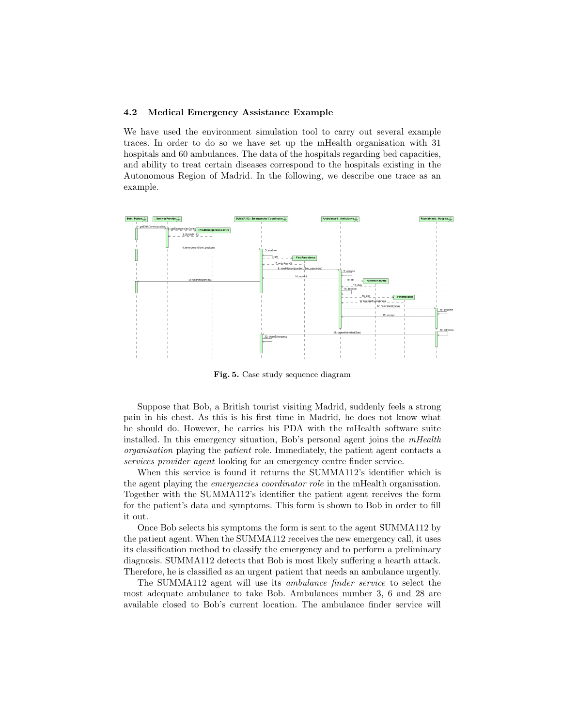#### 4.2 Medical Emergency Assistance Example

We have used the environment simulation tool to carry out several example traces. In order to do so we have set up the mHealth organisation with 31 hospitals and 60 ambulances. The data of the hospitals regarding bed capacities, and ability to treat certain diseases correspond to the hospitals existing in the Autonomous Region of Madrid. In the following, we describe one trace as an example.



Fig. 5. Case study sequence diagram

Suppose that Bob, a British tourist visiting Madrid, suddenly feels a strong pain in his chest. As this is his first time in Madrid, he does not know what he should do. However, he carries his PDA with the mHealth software suite installed. In this emergency situation, Bob's personal agent joins the *mHealth* organisation playing the patient role. Immediately, the patient agent contacts a services provider agent looking for an emergency centre finder service.

When this service is found it returns the SUMMA112's identifier which is the agent playing the emergencies coordinator role in the mHealth organisation. Together with the SUMMA112's identifier the patient agent receives the form for the patient's data and symptoms. This form is shown to Bob in order to fill it out.

Once Bob selects his symptoms the form is sent to the agent SUMMA112 by the patient agent. When the SUMMA112 receives the new emergency call, it uses its classification method to classify the emergency and to perform a preliminary diagnosis. SUMMA112 detects that Bob is most likely suffering a hearth attack. Therefore, he is classified as an urgent patient that needs an ambulance urgently.

The SUMMA112 agent will use its ambulance finder service to select the most adequate ambulance to take Bob. Ambulances number 3, 6 and 28 are available closed to Bob's current location. The ambulance finder service will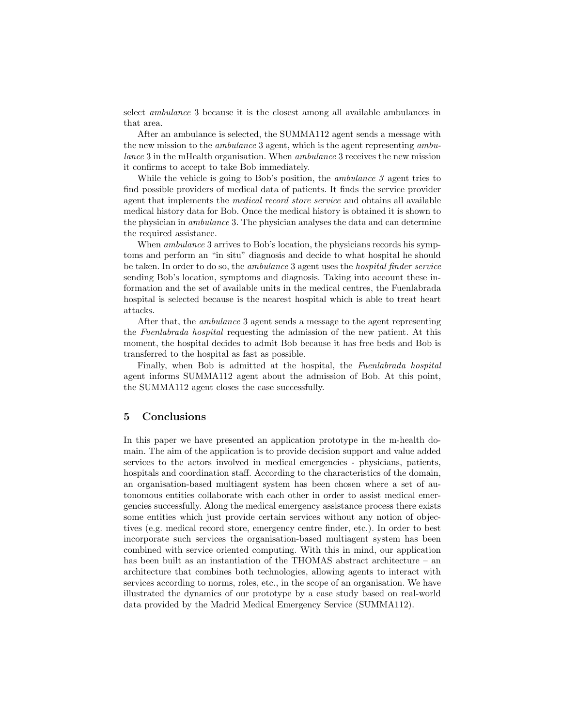select ambulance 3 because it is the closest among all available ambulances in that area.

After an ambulance is selected, the SUMMA112 agent sends a message with the new mission to the *ambulance* 3 agent, which is the agent representing *ambu*lance 3 in the mHealth organisation. When ambulance 3 receives the new mission it confirms to accept to take Bob immediately.

While the vehicle is going to Bob's position, the *ambulance*  $\beta$  agent tries to find possible providers of medical data of patients. It finds the service provider agent that implements the medical record store service and obtains all available medical history data for Bob. Once the medical history is obtained it is shown to the physician in ambulance 3. The physician analyses the data and can determine the required assistance.

When *ambulance* 3 arrives to Bob's location, the physicians records his symptoms and perform an "in situ" diagnosis and decide to what hospital he should be taken. In order to do so, the ambulance 3 agent uses the hospital finder service sending Bob's location, symptoms and diagnosis. Taking into account these information and the set of available units in the medical centres, the Fuenlabrada hospital is selected because is the nearest hospital which is able to treat heart attacks.

After that, the ambulance 3 agent sends a message to the agent representing the Fuenlabrada hospital requesting the admission of the new patient. At this moment, the hospital decides to admit Bob because it has free beds and Bob is transferred to the hospital as fast as possible.

Finally, when Bob is admitted at the hospital, the Fuenlabrada hospital agent informs SUMMA112 agent about the admission of Bob. At this point, the SUMMA112 agent closes the case successfully.

## 5 Conclusions

In this paper we have presented an application prototype in the m-health domain. The aim of the application is to provide decision support and value added services to the actors involved in medical emergencies - physicians, patients, hospitals and coordination staff. According to the characteristics of the domain, an organisation-based multiagent system has been chosen where a set of autonomous entities collaborate with each other in order to assist medical emergencies successfully. Along the medical emergency assistance process there exists some entities which just provide certain services without any notion of objectives (e.g. medical record store, emergency centre finder, etc.). In order to best incorporate such services the organisation-based multiagent system has been combined with service oriented computing. With this in mind, our application has been built as an instantiation of the THOMAS abstract architecture – an architecture that combines both technologies, allowing agents to interact with services according to norms, roles, etc., in the scope of an organisation. We have illustrated the dynamics of our prototype by a case study based on real-world data provided by the Madrid Medical Emergency Service (SUMMA112).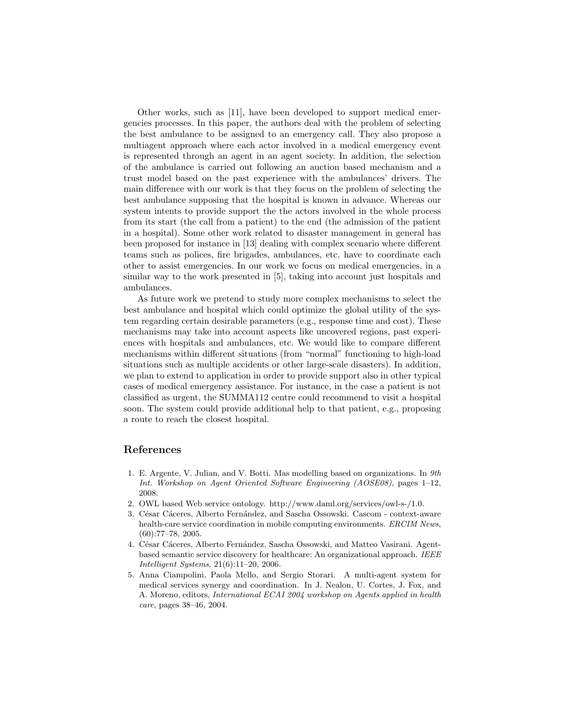Other works, such as [11], have been developed to support medical emergencies processes. In this paper, the authors deal with the problem of selecting the best ambulance to be assigned to an emergency call. They also propose a multiagent approach where each actor involved in a medical emergency event is represented through an agent in an agent society. In addition, the selection of the ambulance is carried out following an auction based mechanism and a trust model based on the past experience with the ambulances' drivers. The main difference with our work is that they focus on the problem of selecting the best ambulance supposing that the hospital is known in advance. Whereas our system intents to provide support the the actors involved in the whole process from its start (the call from a patient) to the end (the admission of the patient in a hospital). Some other work related to disaster management in general has been proposed for instance in [13] dealing with complex scenario where different teams such as polices, fire brigades, ambulances, etc. have to coordinate each other to assist emergencies. In our work we focus on medical emergencies, in a similar way to the work presented in [5], taking into account just hospitals and ambulances.

As future work we pretend to study more complex mechanisms to select the best ambulance and hospital which could optimize the global utility of the system regarding certain desirable parameters (e.g., response time and cost). These mechanisms may take into account aspects like uncovered regions, past experiences with hospitals and ambulances, etc. We would like to compare different mechanisms within different situations (from "normal" functioning to high-load situations such as multiple accidents or other large-scale disasters). In addition, we plan to extend to application in order to provide support also in other typical cases of medical emergency assistance. For instance, in the case a patient is not classified as urgent, the SUMMA112 centre could recommend to visit a hospital soon. The system could provide additional help to that patient, e.g., proposing a route to reach the closest hospital.

## References

- 1. E. Argente, V. Julian, and V. Botti. Mas modelling based on organizations. In 9th Int. Workshop on Agent Oriented Software Engineering (AOSE08), pages 1–12, 2008.
- 2. OWL based Web service ontology. http://www.daml.org/services/owl-s-/1.0.
- 3. César Cáceres, Alberto Fernández, and Sascha Ossowski. Cascom context-aware health-care service coordination in mobile computing environments. ERCIM News, (60):77–78, 2005.
- 4. César Cáceres, Alberto Fernández, Sascha Ossowski, and Matteo Vasirani. Agentbased semantic service discovery for healthcare: An organizational approach. IEEE Intelligent Systems, 21(6):11–20, 2006.
- 5. Anna Ciampolini, Paola Mello, and Sergio Storari. A multi-agent system for medical services synergy and coordination. In J. Nealon, U. Cortes, J. Fox, and A. Moreno, editors, International ECAI 2004 workshop on Agents applied in health care, pages 38–46, 2004.